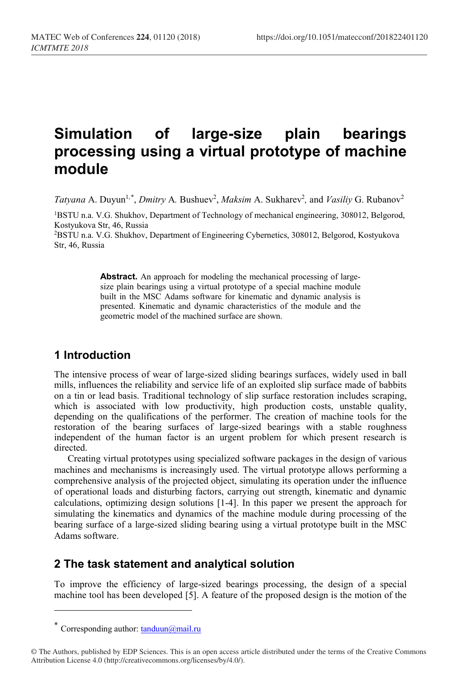# **Simulation of large-size plain bearings processing using a virtual prototype of machine module**

Tatyana A. Duyun<sup>1,[\\*](#page-0-0)</sup>, *Dmitry* A. Bushuev<sup>2</sup>, *Maksim* A. Sukharev<sup>2</sup>, and *Vasiliy* G. Rubanov<sup>2</sup>

1BSTU n.a. V.G. Shukhov, Department of Technology of mechanical engineering, 308012, Belgorod, Kostyukova Str, 46, Russia

2BSTU n.a. V.G. Shukhov, Department of Engineering Cybernetics, 308012, Belgorod, Kostyukova Str, 46, Russia

> **Abstract.** An approach for modeling the mechanical processing of largesize plain bearings using a virtual prototype of a special machine module built in the MSC Adams software for kinematic and dynamic analysis is presented. Kinematic and dynamic characteristics of the module and the geometric model of the machined surface are shown.

# **1 Introduction**

The intensive process of wear of large-sized sliding bearings surfaces, widely used in ball mills, influences the reliability and service life of an exploited slip surface made of babbits on a tin or lead basis. Traditional technology of slip surface restoration includes scraping, which is associated with low productivity, high production costs, unstable quality, depending on the qualifications of the performer. The creation of machine tools for the restoration of the bearing surfaces of large-sized bearings with a stable roughness independent of the human factor is an urgent problem for which present research is directed.

Creating virtual prototypes using specialized software packages in the design of various machines and mechanisms is increasingly used. The virtual prototype allows performing a comprehensive analysis of the projected object, simulating its operation under the influence of operational loads and disturbing factors, carrying out strength, kinematic and dynamic calculations, optimizing design solutions [1-4]. In this paper we present the approach for simulating the kinematics and dynamics of the machine module during processing of the bearing surface of a large-sized sliding bearing using a virtual prototype built in the MSC Adams software.

# **2 The task statement and analytical solution**

To improve the efficiency of large-sized bearings processing, the design of a special machine tool has been developed [5]. A feature of the proposed design is the motion of the

 $\overline{a}$ 

<span id="page-0-0"></span><sup>\*</sup> Corresponding author: [tanduun@mail.ru](mailto:tanduun@mail.ru)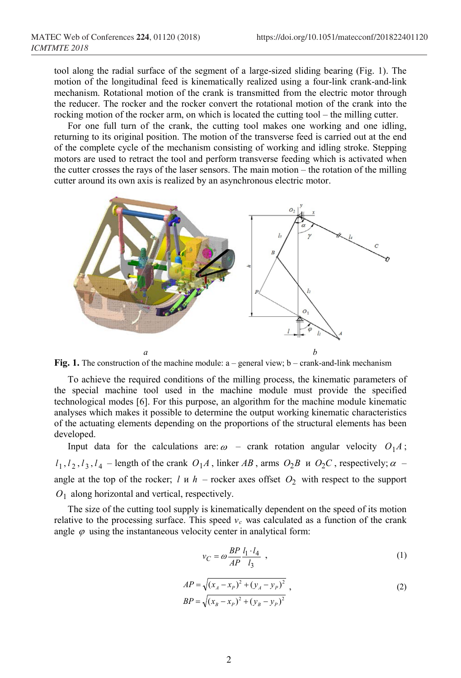tool along the radial surface of the segment of a large-sized sliding bearing (Fig. 1). The motion of the longitudinal feed is kinematically realized using a four-link crank-and-link mechanism. Rotational motion of the crank is transmitted from the electric motor through the reducer. The rocker and the rocker convert the rotational motion of the crank into the rocking motion of the rocker arm, on which is located the cutting tool – the milling cutter.

For one full turn of the crank, the cutting tool makes one working and one idling, returning to its original position. The motion of the transverse feed is carried out at the end of the complete cycle of the mechanism consisting of working and idling stroke. Stepping motors are used to retract the tool and perform transverse feeding which is activated when the cutter crosses the rays of the laser sensors. The main motion – the rotation of the milling cutter around its own axis is realized by an asynchronous electric motor.



**Fig. 1.** The construction of the machine module: a – general view; b – crank-and-link mechanism

To achieve the required conditions of the milling process, the kinematic parameters of the special machine tool used in the machine module must provide the specified technological modes [6]. For this purpose, an algorithm for the machine module kinematic analyses which makes it possible to determine the output working kinematic characteristics of the actuating elements depending on the proportions of the structural elements has been developed.

Input data for the calculations are:  $\omega$  – crank rotation angular velocity  $O_1A$ ;  $l_1, l_2, l_3, l_4$  – length of the crank  $O_1A$ , linker AB, arms  $O_2B$  u  $O_2C$ , respectively;  $\alpha$  – angle at the top of the rocker;  $l \cdot u \cdot h$  – rocker axes offset  $O_2$  with respect to the support *O*<sup>1</sup> along horizontal and vertical, respectively.

The size of the cutting tool supply is kinematically dependent on the speed of its motion relative to the processing surface. This speed  $v_c$  was calculated as a function of the crank angle  $\varphi$  using the instantaneous velocity center in analytical form:

$$
v_C = \omega \frac{BP}{AP} \frac{l_1 \cdot l_4}{l_3} \tag{1}
$$

$$
AP = \sqrt{(x_A - x_P)^2 + (y_A - y_P)^2}
$$
  
\n
$$
BP = \sqrt{(x_B - x_P)^2 + (y_B - y_P)^2}
$$
\n(2)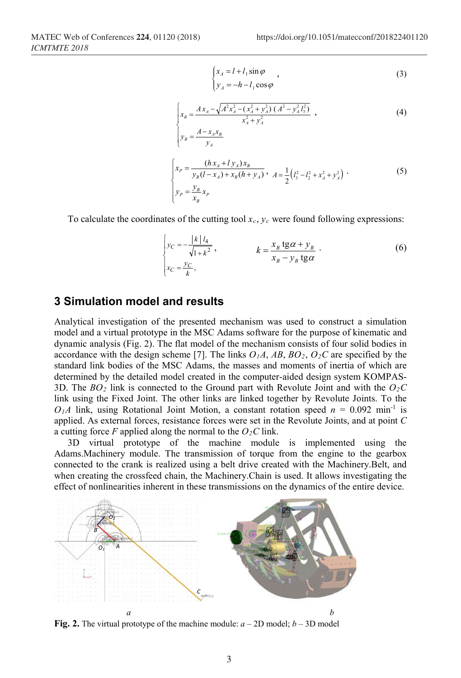$$
\begin{cases} x_A = l + l_1 \sin \varphi \\ y_A = -h - l_1 \cos \varphi \end{cases}
$$
 (3)

$$
\begin{cases} x_B = \frac{Ax_A - \sqrt{A^2x_A^2 - (x_A^2 + y_A^2)(A^2 - y_A^2 I_3^2)}}{x_A^2 + y_A^2}, \end{cases}
$$
 (4)

$$
\begin{cases}\ny_B = \frac{A - x_A x_B}{y_A} \\
x_P = \frac{(hx_A + ly_A)x_B}{y_B (l - x_A) + x_B (h + y_A)}, \\
y_P = \frac{y_B}{x_B} x_P\n\end{cases}
$$
\n(5)

To calculate the coordinates of the cutting tool  $x_c$ ,  $y_c$  were found following expressions:

$$
\begin{cases}\ny_C = -\frac{|k| \, l_4}{\sqrt{1 + k^2}}, & k = \frac{x_B \, \text{tg}\alpha + y_B}{x_B - y_B \, \text{tg}\alpha} \\
x_C = \frac{y_C}{k}, & (6)\n\end{cases}
$$

#### **3 Simulation model and results**

Analytical investigation of the presented mechanism was used to construct a simulation model and a virtual prototype in the MSC Adams software for the purpose of kinematic and dynamic analysis (Fig. 2). The flat model of the mechanism consists of four solid bodies in accordance with the design scheme [7]. The links  $O_1A$ ,  $AB$ ,  $BO_2$ ,  $O_2C$  are specified by the standard link bodies of the MSC Adams, the masses and moments of inertia of which are determined by the detailed model created in the computer-aided design system KOMPAS-3D. The  $BO_2$  link is connected to the Ground part with Revolute Joint and with the  $O_2C$ link using the Fixed Joint. The other links are linked together by Revolute Joints. To the  $O_1A$  link, using Rotational Joint Motion, a constant rotation speed  $n = 0.092$  min<sup>-1</sup> is applied. As external forces, resistance forces were set in the Revolute Joints, and at point *C* a cutting force *F* applied along the normal to the  $O_2C$  link.

3D virtual prototype of the machine module is implemented using the Adams.Machinery module. The transmission of torque from the engine to the gearbox connected to the crank is realized using a belt drive created with the Machinery.Belt, and when creating the crossfeed chain, the Machinery.Chain is used. It allows investigating the effect of nonlinearities inherent in these transmissions on the dynamics of the entire device.



**Fig. 2.** The virtual prototype of the machine module:  $a - 2D$  model;  $b - 3D$  model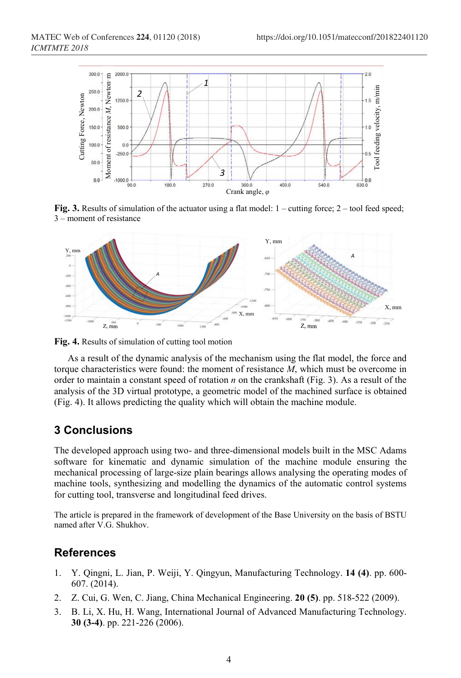

**Fig. 3.** Results of simulation of the actuator using a flat model: 1 – cutting force; 2 – tool feed speed; 3 – moment of resistance



**Fig. 4.** Results of simulation of cutting tool motion

As a result of the dynamic analysis of the mechanism using the flat model, the force and torque characteristics were found: the moment of resistance *M*, which must be overcome in order to maintain a constant speed of rotation  $n$  on the crankshaft (Fig. 3). As a result of the analysis of the 3D virtual prototype, a geometric model of the machined surface is obtained (Fig. 4). It allows predicting the quality which will obtain the machine module.

## **3 Conclusions**

The developed approach using two- and three-dimensional models built in the MSC Adams software for kinematic and dynamic simulation of the machine module ensuring the mechanical processing of large-size plain bearings allows analysing the operating modes of machine tools, synthesizing and modelling the dynamics of the automatic control systems for cutting tool, transverse and longitudinal feed drives.

The article is prepared in the framework of development of the Base University on the basis of BSTU named after V.G. Shukhov.

## **References**

- 1. Y. Qingni, L. Jian, P. Weiji, Y. Qingyun, Manufacturing Technology. **14 (4)**. pp. 600- 607. (2014).
- 2. Z. Cui, G. Wen, C. Jiang, China Mechanical Engineering. **20 (5)**. pp. 518-522 (2009).
- 3. B. Li, X. Hu, H. Wang, International Journal of Advanced Manufacturing Technology. **30 (3-4)**. pp. 221-226 (2006).